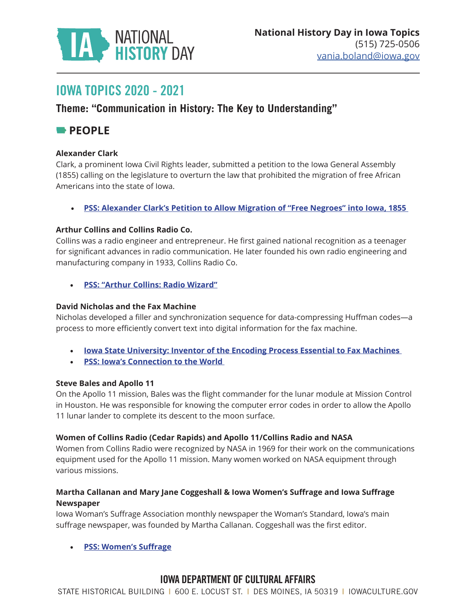

# IOWA TOPICS 2020 - 2021

## **Theme: "Communication in History: The Key to Understanding"**

## **PEOPLE**

#### **Alexander Clark**

Clark, a prominent Iowa Civil Rights leader, submitted a petition to the Iowa General Assembly (1855) calling on the legislature to overturn the law that prohibited the migration of free African Americans into the state of Iowa.

• **[PSS: Alexander Clark's Petition to Allow Migration of "Free Negroes" into Iowa, 1855](https://iowaculture.gov/history/education/educator-resources/primary-source-sets/iowa-leader-civil-rights-and-equality/alexander-clark-petition)** 

#### **Arthur Collins and Collins Radio Co.**

Collins was a radio engineer and entrepreneur. He first gained national recognition as a teenager for significant advances in radio communication. He later founded his own radio engineering and manufacturing company in 1933, Collins Radio Co.

• **[PSS: "Arthur Collins: Radio Wizard"](https://iowaculture.gov/history/education/educator-resources/primary-source-sets/business-iowa/arthur-collins-radio-wizard)**

#### **David Nicholas and the Fax Machine**

Nicholas developed a filler and synchronization sequence for data-compressing Huffman codes—a process to more efficiently convert text into digital information for the fax machine.

- **[Iowa State University: Inventor of the Encoding Process Essential to Fax Machines](https://www.ece.iastate.edu/profiles/david-c-nicholas/)**
- **[PSS: Iowa's Connection to the World](https://iowaculture.gov/history/education/educator-resources/primary-source-sets/iowa-s-connection-to-world)**

#### **Steve Bales and Apollo 11**

On the Apollo 11 mission, Bales was the flight commander for the lunar module at Mission Control in Houston. He was responsible for knowing the computer error codes in order to allow the Apollo 11 lunar lander to complete its descent to the moon surface.

#### **Women of Collins Radio (Cedar Rapids) and Apollo 11/Collins Radio and NASA**

Women from Collins Radio were recognized by NASA in 1969 for their work on the communications equipment used for the Apollo 11 mission. Many women worked on NASA equipment through various missions.

#### **Martha Callanan and Mary Jane Coggeshall & Iowa Women's Suffrage and Iowa Suffrage Newspaper**

Iowa Woman's Suffrage Association monthly newspaper the Woman's Standard, Iowa's main suffrage newspaper, was founded by Martha Callanan. Coggeshall was the first editor.

• **[PSS: Women's Suffrage](https://iowaculture.gov/history/education/educator-resources/primary-source-sets/womens-suffrage)**

## IOWA DEPARTMENT OF CULTURAL AFFAIRS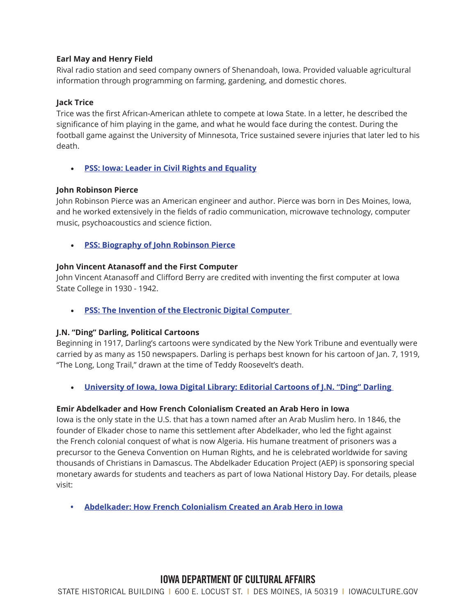#### **Earl May and Henry Field**

Rival radio station and seed company owners of Shenandoah, Iowa. Provided valuable agricultural information through programming on farming, gardening, and domestic chores.

#### **Jack Trice**

Trice was the first African-American athlete to compete at Iowa State. In a letter, he described the significance of him playing in the game, and what he would face during the contest. During the football game against the University of Minnesota, Trice sustained severe injuries that later led to his death.

• **[PSS: Iowa: Leader in Civil Rights and Equality](https://iowaculture.gov/history/education/educator-resources/primary-source-sets/iowa-leader-civil-rights-and-equality)**

#### **John Robinson Pierce**

John Robinson Pierce was an American engineer and author. Pierce was born in Des Moines, Iowa, and he worked extensively in the fields of radio communication, microwave technology, computer music, psychoacoustics and science fiction.

• **[PSS: Biography of John Robinson Pierce](https://iowaculture.gov/history/education/educator-resources/primary-source-sets/iowa-s-connection-to-world/biography-john-0)**

#### **John Vincent Atanasoff and the First Computer**

John Vincent Atanasoff and Clifford Berry are credited with inventing the first computer at Iowa State College in 1930 - 1942.

• **[PSS: The Invention of the Electronic Digital Computer](https://iowaculture.gov/history/education/educator-resources/primary-source-sets/iowa-s-connection-to-world/invention)** 

#### **J.N. "Ding" Darling, Political Cartoons**

Beginning in 1917, Darling's cartoons were syndicated by the New York Tribune and eventually were carried by as many as 150 newspapers. Darling is perhaps best known for his cartoon of Jan. 7, 1919, "The Long, Long Trail," drawn at the time of Teddy Roosevelt's death.

• **[University of Iowa, Iowa Digital Library: Editorial Cartoons of J.N. "Ding" Darling](https://digital.lib.uiowa.edu/ding/)** 

#### **Emir Abdelkader and How French Colonialism Created an Arab Hero in Iowa**

Iowa is the only state in the U.S. that has a town named after an Arab Muslim hero. In 1846, the founder of Elkader chose to name this settlement after Abdelkader, who led the fight against the French colonial conquest of what is now Algeria. His humane treatment of prisoners was a precursor to the Geneva Convention on Human Rights, and he is celebrated worldwide for saving thousands of Christians in Damascus. The Abdelkader Education Project (AEP) is sponsoring special monetary awards for students and teachers as part of Iowa National History Day. For details, please visit:

**• [Abdelkader: How French Colonialism Created an Arab Hero in Iowa](https://abdelkaderproject.org/national-history-day-iowa/)**

### IOWA DEPARTMENT OF CULTURAL AFFAIRS